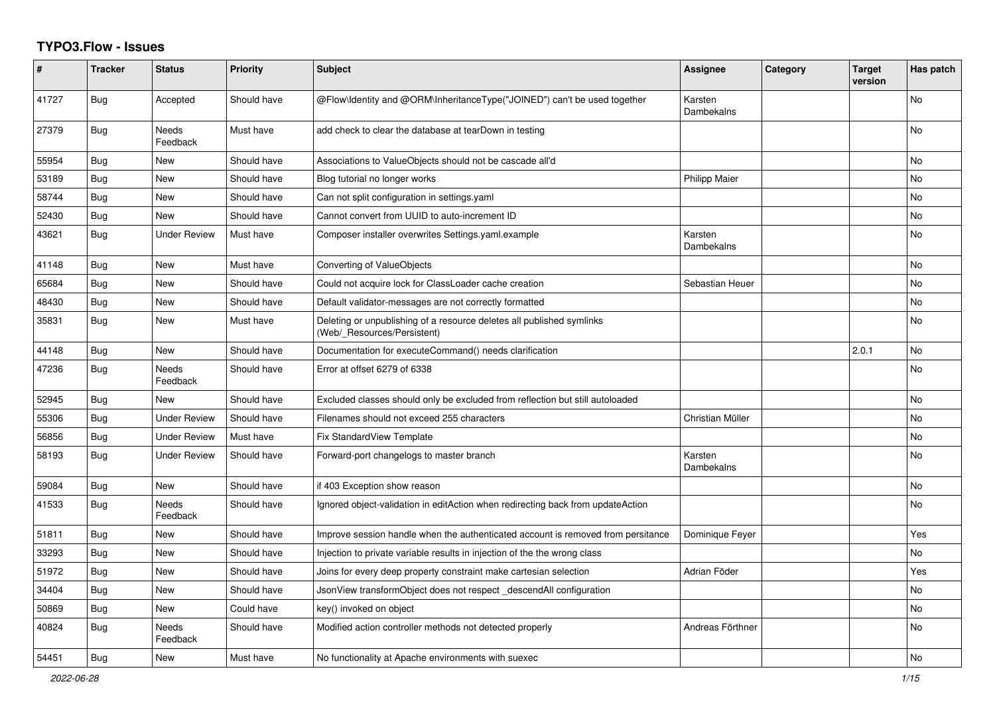## **TYPO3.Flow - Issues**

| $\#$  | <b>Tracker</b> | <b>Status</b>            | <b>Priority</b> | <b>Subject</b>                                                                                       | <b>Assignee</b>       | Category | <b>Target</b><br>version | Has patch      |
|-------|----------------|--------------------------|-----------------|------------------------------------------------------------------------------------------------------|-----------------------|----------|--------------------------|----------------|
| 41727 | <b>Bug</b>     | Accepted                 | Should have     | @Flow\Identity and @ORM\InheritanceType("JOINED") can't be used together                             | Karsten<br>Dambekalns |          |                          | <b>No</b>      |
| 27379 | Bug            | <b>Needs</b><br>Feedback | Must have       | add check to clear the database at tearDown in testing                                               |                       |          |                          | No             |
| 55954 | Bug            | <b>New</b>               | Should have     | Associations to ValueObjects should not be cascade all'd                                             |                       |          |                          | N <sub>o</sub> |
| 53189 | <b>Bug</b>     | <b>New</b>               | Should have     | Blog tutorial no longer works                                                                        | <b>Philipp Maier</b>  |          |                          | N <sub>o</sub> |
| 58744 | Bug            | New                      | Should have     | Can not split configuration in settings yaml                                                         |                       |          |                          | N <sub>o</sub> |
| 52430 | <b>Bug</b>     | New                      | Should have     | Cannot convert from UUID to auto-increment ID                                                        |                       |          |                          | No             |
| 43621 | <b>Bug</b>     | <b>Under Review</b>      | Must have       | Composer installer overwrites Settings.yaml.example                                                  | Karsten<br>Dambekalns |          |                          | N <sub>o</sub> |
| 41148 | Bug            | <b>New</b>               | Must have       | Converting of ValueObjects                                                                           |                       |          |                          | No             |
| 65684 | Bug            | New                      | Should have     | Could not acquire lock for ClassLoader cache creation                                                | Sebastian Heuer       |          |                          | No             |
| 48430 | Bug            | <b>New</b>               | Should have     | Default validator-messages are not correctly formatted                                               |                       |          |                          | No             |
| 35831 | Bug            | New                      | Must have       | Deleting or unpublishing of a resource deletes all published symlinks<br>(Web/ Resources/Persistent) |                       |          |                          | No             |
| 44148 | <b>Bug</b>     | New                      | Should have     | Documentation for executeCommand() needs clarification                                               |                       |          | 2.0.1                    | No             |
| 47236 | Bug            | Needs<br>Feedback        | Should have     | Error at offset 6279 of 6338                                                                         |                       |          |                          | No             |
| 52945 | Bug            | <b>New</b>               | Should have     | Excluded classes should only be excluded from reflection but still autoloaded                        |                       |          |                          | N <sub>o</sub> |
| 55306 | <b>Bug</b>     | <b>Under Review</b>      | Should have     | Filenames should not exceed 255 characters                                                           | Christian Müller      |          |                          | N <sub>o</sub> |
| 56856 | <b>Bug</b>     | <b>Under Review</b>      | Must have       | <b>Fix StandardView Template</b>                                                                     |                       |          |                          | N <sub>o</sub> |
| 58193 | <b>Bug</b>     | <b>Under Review</b>      | Should have     | Forward-port changelogs to master branch                                                             | Karsten<br>Dambekalns |          |                          | N <sub>o</sub> |
| 59084 | Bug            | New                      | Should have     | if 403 Exception show reason                                                                         |                       |          |                          | No             |
| 41533 | Bug            | Needs<br>Feedback        | Should have     | Ignored object-validation in editAction when redirecting back from updateAction                      |                       |          |                          | No             |
| 51811 | Bug            | New                      | Should have     | Improve session handle when the authenticated account is removed from persitance                     | Dominique Feyer       |          |                          | Yes            |
| 33293 | Bug            | <b>New</b>               | Should have     | Injection to private variable results in injection of the the wrong class                            |                       |          |                          | N <sub>o</sub> |
| 51972 | <b>Bug</b>     | <b>New</b>               | Should have     | Joins for every deep property constraint make cartesian selection                                    | Adrian Föder          |          |                          | Yes            |
| 34404 | <b>Bug</b>     | <b>New</b>               | Should have     | JsonView transformObject does not respect_descendAll configuration                                   |                       |          |                          | N <sub>o</sub> |
| 50869 | <b>Bug</b>     | New                      | Could have      | key() invoked on object                                                                              |                       |          |                          | N <sub>o</sub> |
| 40824 | <b>Bug</b>     | Needs<br>Feedback        | Should have     | Modified action controller methods not detected properly                                             | Andreas Förthner      |          |                          | No.            |
| 54451 | Bug            | <b>New</b>               | Must have       | No functionality at Apache environments with suexec                                                  |                       |          |                          | No             |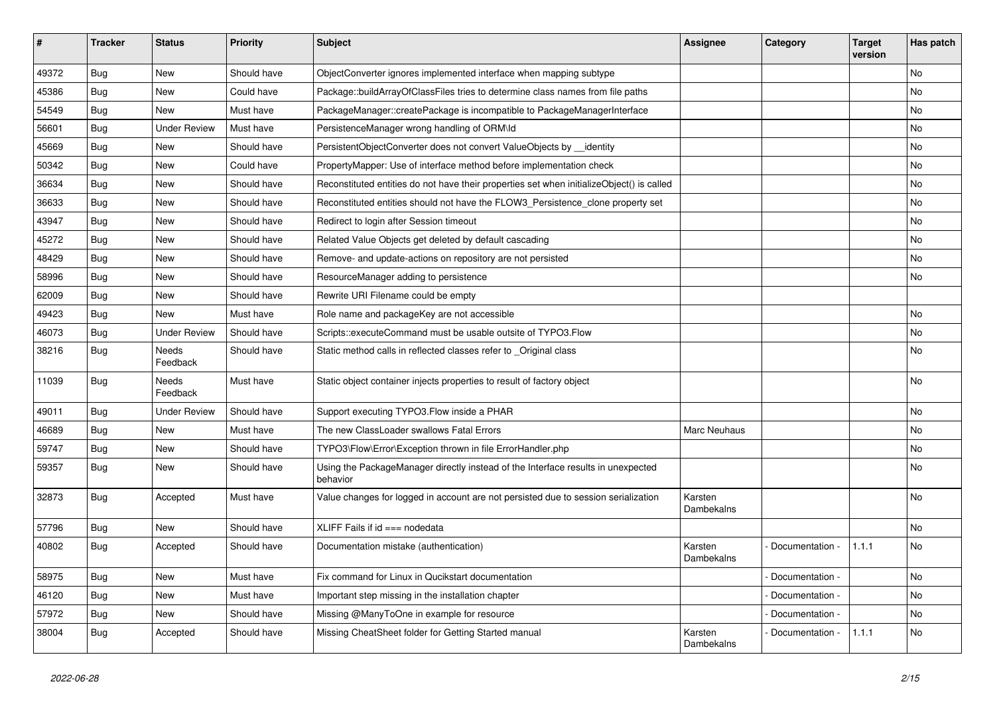| $\sharp$ | <b>Tracker</b> | <b>Status</b>       | <b>Priority</b> | Subject                                                                                      | <b>Assignee</b>       | Category        | <b>Target</b><br>version | Has patch |
|----------|----------------|---------------------|-----------------|----------------------------------------------------------------------------------------------|-----------------------|-----------------|--------------------------|-----------|
| 49372    | Bug            | <b>New</b>          | Should have     | ObjectConverter ignores implemented interface when mapping subtype                           |                       |                 |                          | <b>No</b> |
| 45386    | Bug            | New                 | Could have      | Package::buildArrayOfClassFiles tries to determine class names from file paths               |                       |                 |                          | No        |
| 54549    | Bug            | <b>New</b>          | Must have       | PackageManager::createPackage is incompatible to PackageManagerInterface                     |                       |                 |                          | No        |
| 56601    | Bug            | <b>Under Review</b> | Must have       | PersistenceManager wrong handling of ORM\ld                                                  |                       |                 |                          | No        |
| 45669    | Bug            | <b>New</b>          | Should have     | PersistentObjectConverter does not convert ValueObjects by __identity                        |                       |                 |                          | <b>No</b> |
| 50342    | <b>Bug</b>     | <b>New</b>          | Could have      | PropertyMapper: Use of interface method before implementation check                          |                       |                 |                          | No        |
| 36634    | <b>Bug</b>     | <b>New</b>          | Should have     | Reconstituted entities do not have their properties set when initializeObject() is called    |                       |                 |                          | <b>No</b> |
| 36633    | Bug            | <b>New</b>          | Should have     | Reconstituted entities should not have the FLOW3_Persistence_clone property set              |                       |                 |                          | <b>No</b> |
| 43947    | <b>Bug</b>     | <b>New</b>          | Should have     | Redirect to login after Session timeout                                                      |                       |                 |                          | <b>No</b> |
| 45272    | <b>Bug</b>     | <b>New</b>          | Should have     | Related Value Objects get deleted by default cascading                                       |                       |                 |                          | <b>No</b> |
| 48429    | <b>Bug</b>     | <b>New</b>          | Should have     | Remove- and update-actions on repository are not persisted                                   |                       |                 |                          | <b>No</b> |
| 58996    | Bug            | <b>New</b>          | Should have     | ResourceManager adding to persistence                                                        |                       |                 |                          | <b>No</b> |
| 62009    | Bug            | <b>New</b>          | Should have     | Rewrite URI Filename could be empty                                                          |                       |                 |                          |           |
| 49423    | <b>Bug</b>     | <b>New</b>          | Must have       | Role name and packageKey are not accessible                                                  |                       |                 |                          | <b>No</b> |
| 46073    | Bug            | <b>Under Review</b> | Should have     | Scripts::executeCommand must be usable outsite of TYPO3.Flow                                 |                       |                 |                          | No        |
| 38216    | Bug            | Needs<br>Feedback   | Should have     | Static method calls in reflected classes refer to _Original class                            |                       |                 |                          | No        |
| 11039    | <b>Bug</b>     | Needs<br>Feedback   | Must have       | Static object container injects properties to result of factory object                       |                       |                 |                          | No        |
| 49011    | <b>Bug</b>     | <b>Under Review</b> | Should have     | Support executing TYPO3. Flow inside a PHAR                                                  |                       |                 |                          | <b>No</b> |
| 46689    | <b>Bug</b>     | <b>New</b>          | Must have       | The new ClassLoader swallows Fatal Errors                                                    | Marc Neuhaus          |                 |                          | No        |
| 59747    | Bug            | <b>New</b>          | Should have     | TYPO3\Flow\Error\Exception thrown in file ErrorHandler.php                                   |                       |                 |                          | No        |
| 59357    | Bug            | New                 | Should have     | Using the PackageManager directly instead of the Interface results in unexpected<br>behavior |                       |                 |                          | <b>No</b> |
| 32873    | <b>Bug</b>     | Accepted            | Must have       | Value changes for logged in account are not persisted due to session serialization           | Karsten<br>Dambekalns |                 |                          | No        |
| 57796    | <b>Bug</b>     | <b>New</b>          | Should have     | XLIFF Fails if $id ==$ nodedata                                                              |                       |                 |                          | <b>No</b> |
| 40802    | Bug            | Accepted            | Should have     | Documentation mistake (authentication)                                                       | Karsten<br>Dambekalns | Documentation - | 1.1.1                    | No        |
| 58975    | Bug            | <b>New</b>          | Must have       | Fix command for Linux in Qucikstart documentation                                            |                       | Documentation - |                          | <b>No</b> |
| 46120    | Bug            | New                 | Must have       | Important step missing in the installation chapter                                           |                       | Documentation - |                          | No        |
| 57972    | <b>Bug</b>     | <b>New</b>          | Should have     | Missing @ManyToOne in example for resource                                                   |                       | Documentation   |                          | No        |
| 38004    | Bug            | Accepted            | Should have     | Missing CheatSheet folder for Getting Started manual                                         | Karsten<br>Dambekalns | Documentation - | 1.1.1                    | <b>No</b> |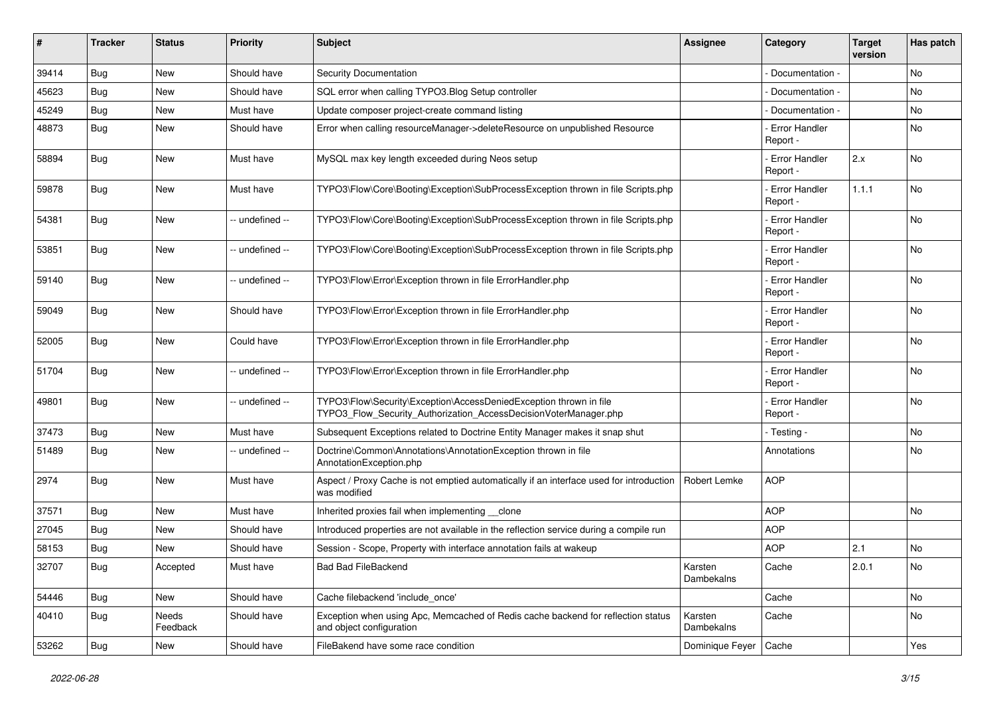| #     | <b>Tracker</b> | <b>Status</b>     | <b>Priority</b> | Subject                                                                                                                                | <b>Assignee</b>       | Category                         | <b>Target</b><br>version | Has patch |
|-------|----------------|-------------------|-----------------|----------------------------------------------------------------------------------------------------------------------------------------|-----------------------|----------------------------------|--------------------------|-----------|
| 39414 | Bug            | New               | Should have     | <b>Security Documentation</b>                                                                                                          |                       | Documentation -                  |                          | <b>No</b> |
| 45623 | <b>Bug</b>     | New               | Should have     | SQL error when calling TYPO3.Blog Setup controller                                                                                     |                       | Documentation -                  |                          | <b>No</b> |
| 45249 | Bug            | New               | Must have       | Update composer project-create command listing                                                                                         |                       | Documentation -                  |                          | No        |
| 48873 | <b>Bug</b>     | <b>New</b>        | Should have     | Error when calling resourceManager->deleteResource on unpublished Resource                                                             |                       | Error Handler<br>Report -        |                          | No        |
| 58894 | Bug            | New               | Must have       | MySQL max key length exceeded during Neos setup                                                                                        |                       | <b>Error Handler</b><br>Report - | 2.x                      | <b>No</b> |
| 59878 | <b>Bug</b>     | New               | Must have       | TYPO3\Flow\Core\Booting\Exception\SubProcessException thrown in file Scripts.php                                                       |                       | <b>Error Handler</b><br>Report - | 1.1.1                    | <b>No</b> |
| 54381 | <b>Bug</b>     | New               | -- undefined -- | TYPO3\Flow\Core\Booting\Exception\SubProcessException thrown in file Scripts.php                                                       |                       | <b>Error Handler</b><br>Report - |                          | <b>No</b> |
| 53851 | <b>Bug</b>     | New               | -- undefined -- | TYPO3\Flow\Core\Booting\Exception\SubProcessException thrown in file Scripts.php                                                       |                       | <b>Error Handler</b><br>Report - |                          | No        |
| 59140 | <b>Bug</b>     | New               | -- undefined -- | TYPO3\Flow\Error\Exception thrown in file ErrorHandler.php                                                                             |                       | Error Handler<br>Report -        |                          | <b>No</b> |
| 59049 | Bug            | New               | Should have     | TYPO3\Flow\Error\Exception thrown in file ErrorHandler.php                                                                             |                       | Error Handler<br>Report -        |                          | <b>No</b> |
| 52005 | Bug            | New               | Could have      | TYPO3\Flow\Error\Exception thrown in file ErrorHandler.php                                                                             |                       | Error Handler<br>Report -        |                          | <b>No</b> |
| 51704 | Bug            | New               | -- undefined -- | TYPO3\Flow\Error\Exception thrown in file ErrorHandler.php                                                                             |                       | <b>Error Handler</b><br>Report - |                          | <b>No</b> |
| 49801 | <b>Bug</b>     | <b>New</b>        | -- undefined -- | TYPO3\Flow\Security\Exception\AccessDeniedException thrown in file<br>TYPO3_Flow_Security_Authorization_AccessDecisionVoterManager.php |                       | <b>Error Handler</b><br>Report - |                          | <b>No</b> |
| 37473 | Bug            | New               | Must have       | Subsequent Exceptions related to Doctrine Entity Manager makes it snap shut                                                            |                       | - Testing -                      |                          | <b>No</b> |
| 51489 | Bug            | New               | -- undefined -- | Doctrine\Common\Annotations\AnnotationException thrown in file<br>AnnotationException.php                                              |                       | Annotations                      |                          | <b>No</b> |
| 2974  | <b>Bug</b>     | New               | Must have       | Aspect / Proxy Cache is not emptied automatically if an interface used for introduction<br>was modified                                | Robert Lemke          | <b>AOP</b>                       |                          |           |
| 37571 | <b>Bug</b>     | New               | Must have       | Inherited proxies fail when implementing clone                                                                                         |                       | <b>AOP</b>                       |                          | No        |
| 27045 | <b>Bug</b>     | New               | Should have     | Introduced properties are not available in the reflection service during a compile run                                                 |                       | <b>AOP</b>                       |                          |           |
| 58153 | <b>Bug</b>     | New               | Should have     | Session - Scope, Property with interface annotation fails at wakeup                                                                    |                       | <b>AOP</b>                       | 2.1                      | No        |
| 32707 | <b>Bug</b>     | Accepted          | Must have       | <b>Bad Bad FileBackend</b>                                                                                                             | Karsten<br>Dambekalns | Cache                            | 2.0.1                    | No        |
| 54446 | Bug            | New               | Should have     | Cache filebackend 'include_once'                                                                                                       |                       | Cache                            |                          | No        |
| 40410 | <b>Bug</b>     | Needs<br>Feedback | Should have     | Exception when using Apc, Memcached of Redis cache backend for reflection status<br>and object configuration                           | Karsten<br>Dambekalns | Cache                            |                          | No        |
| 53262 | <b>Bug</b>     | New               | Should have     | FileBakend have some race condition                                                                                                    | Dominique Feyer       | Cache                            |                          | Yes       |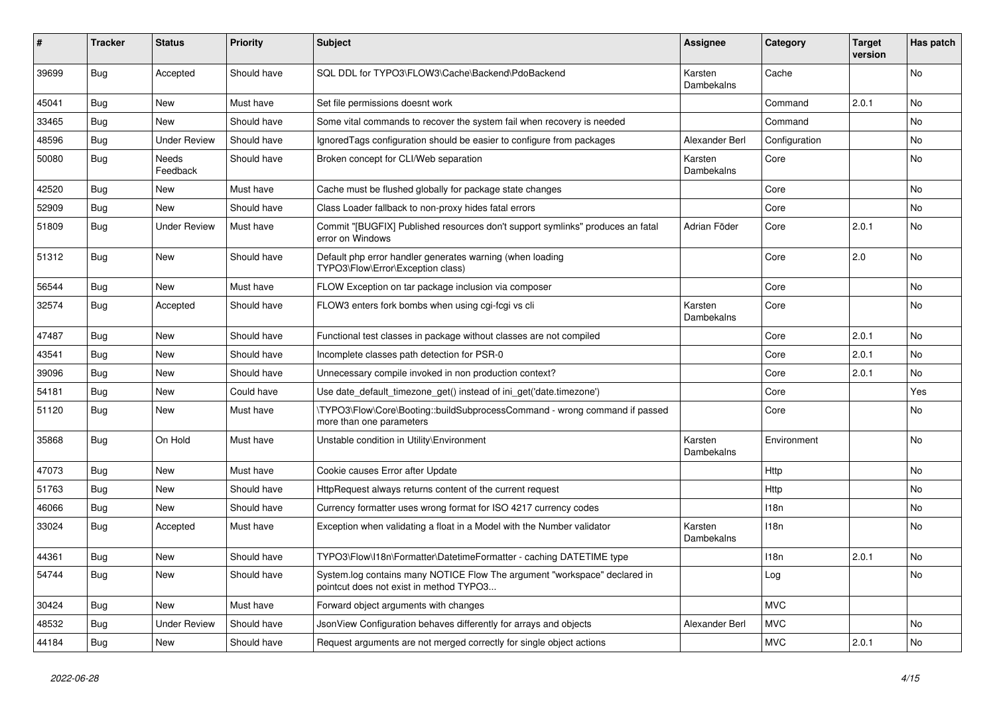| #     | <b>Tracker</b> | <b>Status</b>       | <b>Priority</b> | <b>Subject</b>                                                                                                       | <b>Assignee</b>       | Category      | <b>Target</b><br>version | Has patch |
|-------|----------------|---------------------|-----------------|----------------------------------------------------------------------------------------------------------------------|-----------------------|---------------|--------------------------|-----------|
| 39699 | Bug            | Accepted            | Should have     | SQL DDL for TYPO3\FLOW3\Cache\Backend\PdoBackend                                                                     | Karsten<br>Dambekalns | Cache         |                          | <b>No</b> |
| 45041 | Bug            | New                 | Must have       | Set file permissions doesnt work                                                                                     |                       | Command       | 2.0.1                    | No        |
| 33465 | <b>Bug</b>     | New                 | Should have     | Some vital commands to recover the system fail when recovery is needed                                               |                       | Command       |                          | No        |
| 48596 | Bug            | Under Review        | Should have     | Ignored Tags configuration should be easier to configure from packages                                               | Alexander Berl        | Configuration |                          | No        |
| 50080 | Bug            | Needs<br>Feedback   | Should have     | Broken concept for CLI/Web separation                                                                                | Karsten<br>Dambekalns | Core          |                          | No        |
| 42520 | Bug            | <b>New</b>          | Must have       | Cache must be flushed globally for package state changes                                                             |                       | Core          |                          | No        |
| 52909 | Bug            | New                 | Should have     | Class Loader fallback to non-proxy hides fatal errors                                                                |                       | Core          |                          | No        |
| 51809 | <b>Bug</b>     | <b>Under Review</b> | Must have       | Commit "[BUGFIX] Published resources don't support symlinks" produces an fatal<br>error on Windows                   | Adrian Föder          | Core          | 2.0.1                    | <b>No</b> |
| 51312 | <b>Bug</b>     | <b>New</b>          | Should have     | Default php error handler generates warning (when loading<br>TYPO3\Flow\Error\Exception class)                       |                       | Core          | 2.0                      | <b>No</b> |
| 56544 | Bug            | New                 | Must have       | FLOW Exception on tar package inclusion via composer                                                                 |                       | Core          |                          | No        |
| 32574 | <b>Bug</b>     | Accepted            | Should have     | FLOW3 enters fork bombs when using cgi-fcgi vs cli                                                                   | Karsten<br>Dambekalns | Core          |                          | <b>No</b> |
| 47487 | Bug            | <b>New</b>          | Should have     | Functional test classes in package without classes are not compiled                                                  |                       | Core          | 2.0.1                    | No        |
| 43541 | Bug            | <b>New</b>          | Should have     | Incomplete classes path detection for PSR-0                                                                          |                       | Core          | 2.0.1                    | No        |
| 39096 | Bug            | New                 | Should have     | Unnecessary compile invoked in non production context?                                                               |                       | Core          | 2.0.1                    | <b>No</b> |
| 54181 | <b>Bug</b>     | New                 | Could have      | Use date default timezone get() instead of ini get('date.timezone')                                                  |                       | Core          |                          | Yes       |
| 51120 | Bug            | New                 | Must have       | \TYPO3\Flow\Core\Booting::buildSubprocessCommand - wrong command if passed<br>more than one parameters               |                       | Core          |                          | <b>No</b> |
| 35868 | <b>Bug</b>     | On Hold             | Must have       | Unstable condition in Utility\Environment                                                                            | Karsten<br>Dambekalns | Environment   |                          | No        |
| 47073 | Bug            | <b>New</b>          | Must have       | Cookie causes Error after Update                                                                                     |                       | Http          |                          | <b>No</b> |
| 51763 | <b>Bug</b>     | New                 | Should have     | HttpRequest always returns content of the current request                                                            |                       | Http          |                          | <b>No</b> |
| 46066 | Bug            | <b>New</b>          | Should have     | Currency formatter uses wrong format for ISO 4217 currency codes                                                     |                       | 118n          |                          | <b>No</b> |
| 33024 | Bug            | Accepted            | Must have       | Exception when validating a float in a Model with the Number validator                                               | Karsten<br>Dambekalns | 118n          |                          | No        |
| 44361 | Bug            | <b>New</b>          | Should have     | TYPO3\Flow\I18n\Formatter\DatetimeFormatter - caching DATETIME type                                                  |                       | 118n          | 2.0.1                    | <b>No</b> |
| 54744 | Bug            | <b>New</b>          | Should have     | System.log contains many NOTICE Flow The argument "workspace" declared in<br>pointcut does not exist in method TYPO3 |                       | Log           |                          | No        |
| 30424 | Bug            | New                 | Must have       | Forward object arguments with changes                                                                                |                       | <b>MVC</b>    |                          |           |
| 48532 | Bug            | <b>Under Review</b> | Should have     | JsonView Configuration behaves differently for arrays and objects                                                    | Alexander Berl        | <b>MVC</b>    |                          | No        |
| 44184 | Bug            | New                 | Should have     | Request arguments are not merged correctly for single object actions                                                 |                       | <b>MVC</b>    | 2.0.1                    | No        |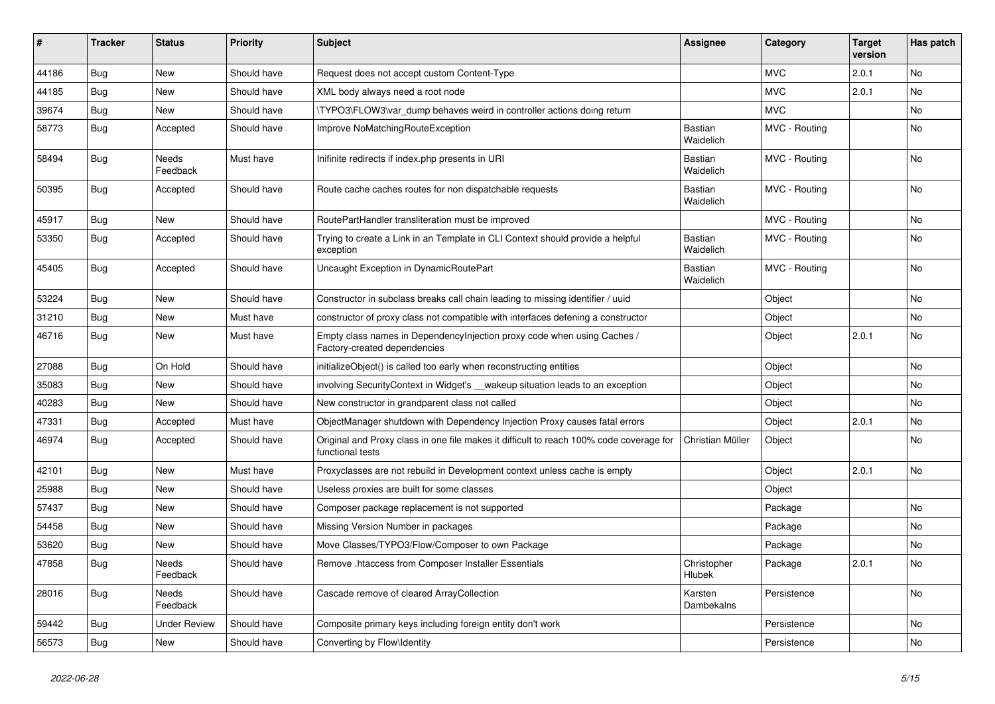| #     | Tracker    | <b>Status</b>            | <b>Priority</b> | <b>Subject</b>                                                                                              | <b>Assignee</b>       | Category      | <b>Target</b><br>version | Has patch      |
|-------|------------|--------------------------|-----------------|-------------------------------------------------------------------------------------------------------------|-----------------------|---------------|--------------------------|----------------|
| 44186 | Bug        | <b>New</b>               | Should have     | Request does not accept custom Content-Type                                                                 |                       | <b>MVC</b>    | 2.0.1                    | <b>No</b>      |
| 44185 | Bug        | <b>New</b>               | Should have     | XML body always need a root node                                                                            |                       | <b>MVC</b>    | 2.0.1                    | <b>No</b>      |
| 39674 | Bug        | New                      | Should have     | \TYPO3\FLOW3\var_dump behaves weird in controller actions doing return                                      |                       | <b>MVC</b>    |                          | No             |
| 58773 | <b>Bug</b> | Accepted                 | Should have     | Improve NoMatchingRouteException                                                                            | Bastian<br>Waidelich  | MVC - Routing |                          | No             |
| 58494 | Bug        | Needs<br>Feedback        | Must have       | Inifinite redirects if index.php presents in URI                                                            | Bastian<br>Waidelich  | MVC - Routing |                          | No             |
| 50395 | Bug        | Accepted                 | Should have     | Route cache caches routes for non dispatchable requests                                                     | Bastian<br>Waidelich  | MVC - Routing |                          | No             |
| 45917 | Bug        | <b>New</b>               | Should have     | RoutePartHandler transliteration must be improved                                                           |                       | MVC - Routing |                          | N <sub>o</sub> |
| 53350 | Bug        | Accepted                 | Should have     | Trying to create a Link in an Template in CLI Context should provide a helpful<br>exception                 | Bastian<br>Waidelich  | MVC - Routing |                          | <b>No</b>      |
| 45405 | Bug        | Accepted                 | Should have     | Uncaught Exception in DynamicRoutePart                                                                      | Bastian<br>Waidelich  | MVC - Routing |                          | <b>No</b>      |
| 53224 | Bug        | New                      | Should have     | Constructor in subclass breaks call chain leading to missing identifier / uuid                              |                       | Object        |                          | No             |
| 31210 | <b>Bug</b> | <b>New</b>               | Must have       | constructor of proxy class not compatible with interfaces defening a constructor                            |                       | Object        |                          | No             |
| 46716 | Bug        | New                      | Must have       | Empty class names in Dependencylnjection proxy code when using Caches /<br>Factory-created dependencies     |                       | Object        | 2.0.1                    | No             |
| 27088 | Bug        | On Hold                  | Should have     | initializeObject() is called too early when reconstructing entities                                         |                       | Object        |                          | No.            |
| 35083 | Bug        | <b>New</b>               | Should have     | involving SecurityContext in Widget's __ wakeup situation leads to an exception                             |                       | Object        |                          | N <sub>o</sub> |
| 40283 | Bug        | <b>New</b>               | Should have     | New constructor in grandparent class not called                                                             |                       | Object        |                          | N <sub>o</sub> |
| 47331 | <b>Bug</b> | Accepted                 | Must have       | ObjectManager shutdown with Dependency Injection Proxy causes fatal errors                                  |                       | Object        | 2.0.1                    | No             |
| 46974 | <b>Bug</b> | Accepted                 | Should have     | Original and Proxy class in one file makes it difficult to reach 100% code coverage for<br>functional tests | Christian Müller      | Object        |                          | <b>No</b>      |
| 42101 | <b>Bug</b> | <b>New</b>               | Must have       | Proxyclasses are not rebuild in Development context unless cache is empty                                   |                       | Object        | 2.0.1                    | <b>No</b>      |
| 25988 | Bug        | <b>New</b>               | Should have     | Useless proxies are built for some classes                                                                  |                       | Object        |                          |                |
| 57437 | Bug        | New                      | Should have     | Composer package replacement is not supported                                                               |                       | Package       |                          | No             |
| 54458 | Bug        | <b>New</b>               | Should have     | Missing Version Number in packages                                                                          |                       | Package       |                          | No             |
| 53620 | Bug        | <b>New</b>               | Should have     | Move Classes/TYPO3/Flow/Composer to own Package                                                             |                       | Package       |                          | No             |
| 47858 | <b>Bug</b> | Needs<br>Feedback        | Should have     | Remove .htaccess from Composer Installer Essentials                                                         | Christopher<br>Hlubek | Package       | 2.0.1                    | No             |
| 28016 | Bug        | <b>Needs</b><br>Feedback | Should have     | Cascade remove of cleared ArrayCollection                                                                   | Karsten<br>Dambekalns | Persistence   |                          | <b>No</b>      |
| 59442 | Bug        | <b>Under Review</b>      | Should have     | Composite primary keys including foreign entity don't work                                                  |                       | Persistence   |                          | No             |
| 56573 | <b>Bug</b> | New                      | Should have     | Converting by Flow\Identity                                                                                 |                       | Persistence   |                          | No             |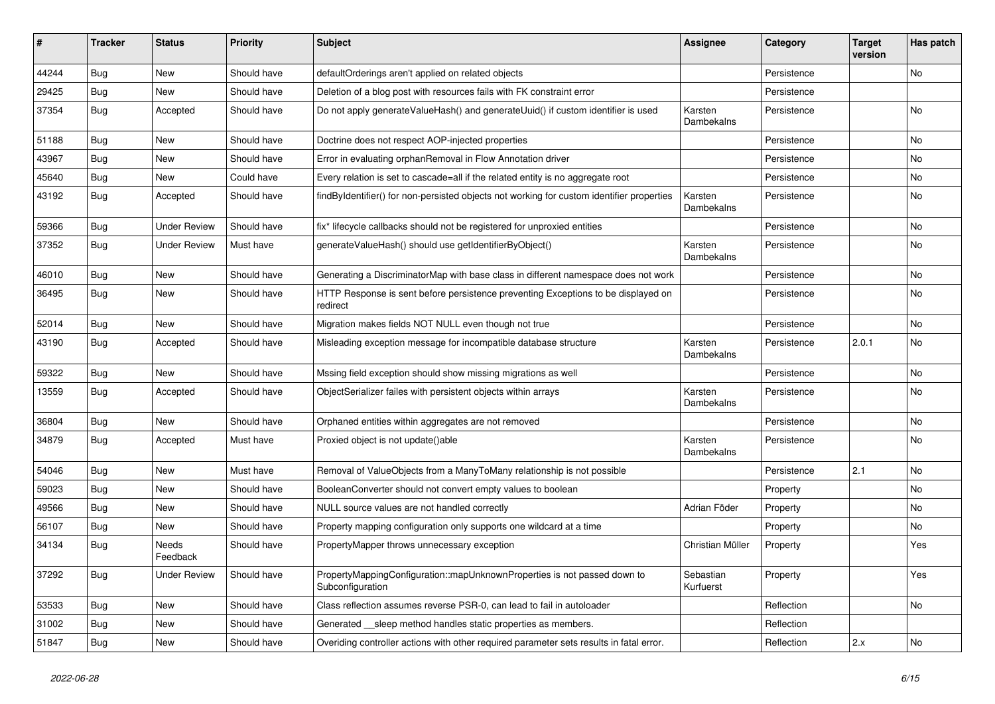| #     | <b>Tracker</b> | <b>Status</b>       | <b>Priority</b> | <b>Subject</b>                                                                                | <b>Assignee</b>        | Category    | <b>Target</b><br>version | Has patch     |
|-------|----------------|---------------------|-----------------|-----------------------------------------------------------------------------------------------|------------------------|-------------|--------------------------|---------------|
| 44244 | Bug            | New                 | Should have     | defaultOrderings aren't applied on related objects                                            |                        | Persistence |                          | No            |
| 29425 | <b>Bug</b>     | New                 | Should have     | Deletion of a blog post with resources fails with FK constraint error                         |                        | Persistence |                          |               |
| 37354 | Bug            | Accepted            | Should have     | Do not apply generateValueHash() and generateUuid() if custom identifier is used              | Karsten<br>Dambekalns  | Persistence |                          | No            |
| 51188 | Bug            | <b>New</b>          | Should have     | Doctrine does not respect AOP-injected properties                                             |                        | Persistence |                          | No.           |
| 43967 | <b>Bug</b>     | New                 | Should have     | Error in evaluating orphanRemoval in Flow Annotation driver                                   |                        | Persistence |                          | No.           |
| 45640 | <b>Bug</b>     | New                 | Could have      | Every relation is set to cascade=all if the related entity is no aggregate root               |                        | Persistence |                          | No            |
| 43192 | <b>Bug</b>     | Accepted            | Should have     | findByIdentifier() for non-persisted objects not working for custom identifier properties     | Karsten<br>Dambekalns  | Persistence |                          | No            |
| 59366 | <b>Bug</b>     | <b>Under Review</b> | Should have     | fix* lifecycle callbacks should not be registered for unproxied entities                      |                        | Persistence |                          | No.           |
| 37352 | Bug            | Under Review        | Must have       | generateValueHash() should use getIdentifierByObject()                                        | Karsten<br>Dambekalns  | Persistence |                          | No            |
| 46010 | Bug            | <b>New</b>          | Should have     | Generating a DiscriminatorMap with base class in different namespace does not work            |                        | Persistence |                          | No.           |
| 36495 | Bug            | New                 | Should have     | HTTP Response is sent before persistence preventing Exceptions to be displayed on<br>redirect |                        | Persistence |                          | No            |
| 52014 | Bug            | New                 | Should have     | Migration makes fields NOT NULL even though not true                                          |                        | Persistence |                          | No            |
| 43190 | <b>Bug</b>     | Accepted            | Should have     | Misleading exception message for incompatible database structure                              | Karsten<br>Dambekalns  | Persistence | 2.0.1                    | <b>No</b>     |
| 59322 | <b>Bug</b>     | New                 | Should have     | Mssing field exception should show missing migrations as well                                 |                        | Persistence |                          | <b>No</b>     |
| 13559 | <b>Bug</b>     | Accepted            | Should have     | ObjectSerializer failes with persistent objects within arrays                                 | Karsten<br>Dambekalns  | Persistence |                          | No            |
| 36804 | <b>Bug</b>     | New                 | Should have     | Orphaned entities within aggregates are not removed                                           |                        | Persistence |                          | No            |
| 34879 | <b>Bug</b>     | Accepted            | Must have       | Proxied object is not update()able                                                            | Karsten<br>Dambekalns  | Persistence |                          | No            |
| 54046 | <b>Bug</b>     | New                 | Must have       | Removal of ValueObjects from a ManyToMany relationship is not possible                        |                        | Persistence | 2.1                      | <b>No</b>     |
| 59023 | <b>Bug</b>     | New                 | Should have     | BooleanConverter should not convert empty values to boolean                                   |                        | Property    |                          | No            |
| 49566 | Bug            | New                 | Should have     | NULL source values are not handled correctly                                                  | Adrian Föder           | Property    |                          | <b>No</b>     |
| 56107 | <b>Bug</b>     | New                 | Should have     | Property mapping configuration only supports one wildcard at a time                           |                        | Property    |                          | No            |
| 34134 | <b>Bug</b>     | Needs<br>Feedback   | Should have     | PropertyMapper throws unnecessary exception                                                   | Christian Müller       | Property    |                          | Yes           |
| 37292 | Bug            | <b>Under Review</b> | Should have     | PropertyMappingConfiguration::mapUnknownProperties is not passed down to<br>Subconfiguration  | Sebastian<br>Kurfuerst | Property    |                          | Yes           |
| 53533 | Bug            | New                 | Should have     | Class reflection assumes reverse PSR-0, can lead to fail in autoloader                        |                        | Reflection  |                          | No            |
| 31002 | <b>Bug</b>     | New                 | Should have     | Generated __ sleep method handles static properties as members.                               |                        | Reflection  |                          |               |
| 51847 | <b>Bug</b>     | New                 | Should have     | Overiding controller actions with other required parameter sets results in fatal error.       |                        | Reflection  | 2.x                      | $\mathsf{No}$ |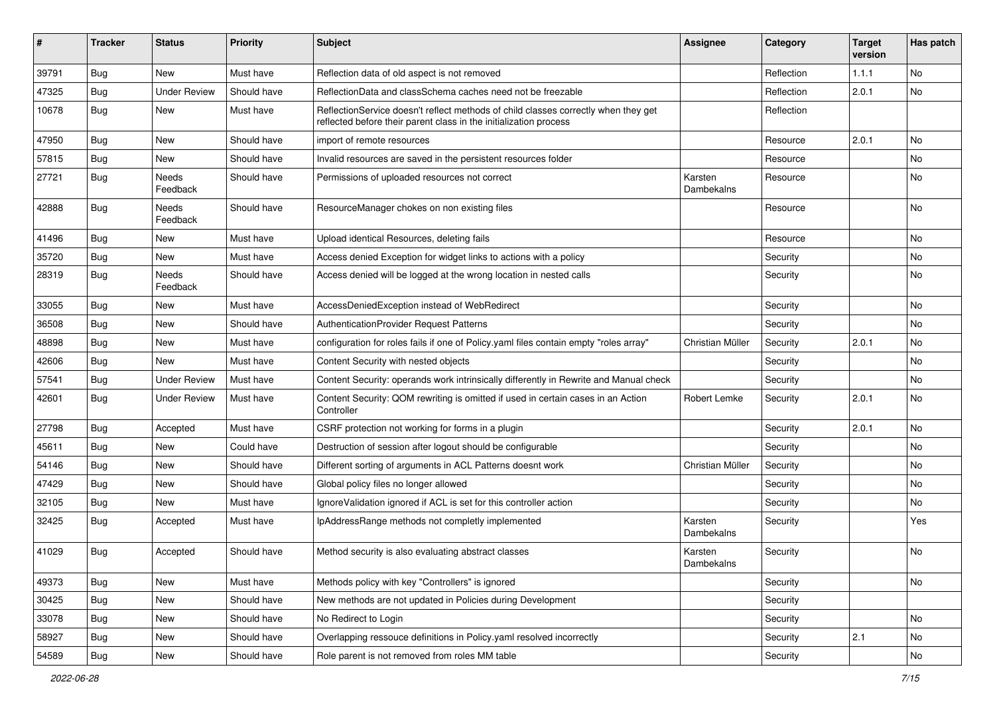| #     | <b>Tracker</b> | <b>Status</b>            | <b>Priority</b> | Subject                                                                                                                                                 | <b>Assignee</b>       | Category   | <b>Target</b><br>version | Has patch |
|-------|----------------|--------------------------|-----------------|---------------------------------------------------------------------------------------------------------------------------------------------------------|-----------------------|------------|--------------------------|-----------|
| 39791 | Bug            | New                      | Must have       | Reflection data of old aspect is not removed                                                                                                            |                       | Reflection | 1.1.1                    | No        |
| 47325 | <b>Bug</b>     | <b>Under Review</b>      | Should have     | ReflectionData and classSchema caches need not be freezable                                                                                             |                       | Reflection | 2.0.1                    | No        |
| 10678 | <b>Bug</b>     | New                      | Must have       | ReflectionService doesn't reflect methods of child classes correctly when they get<br>reflected before their parent class in the initialization process |                       | Reflection |                          |           |
| 47950 | <b>Bug</b>     | <b>New</b>               | Should have     | import of remote resources                                                                                                                              |                       | Resource   | 2.0.1                    | <b>No</b> |
| 57815 | <b>Bug</b>     | New                      | Should have     | Invalid resources are saved in the persistent resources folder                                                                                          |                       | Resource   |                          | <b>No</b> |
| 27721 | <b>Bug</b>     | Needs<br>Feedback        | Should have     | Permissions of uploaded resources not correct                                                                                                           | Karsten<br>Dambekalns | Resource   |                          | No        |
| 42888 | <b>Bug</b>     | <b>Needs</b><br>Feedback | Should have     | ResourceManager chokes on non existing files                                                                                                            |                       | Resource   |                          | No        |
| 41496 | <b>Bug</b>     | New                      | Must have       | Upload identical Resources, deleting fails                                                                                                              |                       | Resource   |                          | <b>No</b> |
| 35720 | Bug            | New                      | Must have       | Access denied Exception for widget links to actions with a policy                                                                                       |                       | Security   |                          | No        |
| 28319 | Bug            | Needs<br>Feedback        | Should have     | Access denied will be logged at the wrong location in nested calls                                                                                      |                       | Security   |                          | No        |
| 33055 | <b>Bug</b>     | New                      | Must have       | AccessDeniedException instead of WebRedirect                                                                                                            |                       | Security   |                          | No        |
| 36508 | <b>Bug</b>     | New                      | Should have     | AuthenticationProvider Request Patterns                                                                                                                 |                       | Security   |                          | No        |
| 48898 | <b>Bug</b>     | New                      | Must have       | configuration for roles fails if one of Policy yaml files contain empty "roles array"                                                                   | Christian Müller      | Security   | 2.0.1                    | <b>No</b> |
| 42606 | <b>Bug</b>     | New                      | Must have       | Content Security with nested objects                                                                                                                    |                       | Security   |                          | No        |
| 57541 | Bug            | <b>Under Review</b>      | Must have       | Content Security: operands work intrinsically differently in Rewrite and Manual check                                                                   |                       | Security   |                          | No        |
| 42601 | <b>Bug</b>     | <b>Under Review</b>      | Must have       | Content Security: QOM rewriting is omitted if used in certain cases in an Action<br>Controller                                                          | Robert Lemke          | Security   | 2.0.1                    | No        |
| 27798 | <b>Bug</b>     | Accepted                 | Must have       | CSRF protection not working for forms in a plugin                                                                                                       |                       | Security   | 2.0.1                    | No        |
| 45611 | <b>Bug</b>     | New                      | Could have      | Destruction of session after logout should be configurable                                                                                              |                       | Security   |                          | No        |
| 54146 | <b>Bug</b>     | New                      | Should have     | Different sorting of arguments in ACL Patterns doesnt work                                                                                              | Christian Müller      | Security   |                          | No        |
| 47429 | <b>Bug</b>     | New                      | Should have     | Global policy files no longer allowed                                                                                                                   |                       | Security   |                          | No        |
| 32105 | <b>Bug</b>     | New                      | Must have       | Ignore Validation ignored if ACL is set for this controller action                                                                                      |                       | Security   |                          | No        |
| 32425 | Bug            | Accepted                 | Must have       | IpAddressRange methods not completly implemented                                                                                                        | Karsten<br>Dambekalns | Security   |                          | Yes       |
| 41029 | <b>Bug</b>     | Accepted                 | Should have     | Method security is also evaluating abstract classes                                                                                                     | Karsten<br>Dambekalns | Security   |                          | No        |
| 49373 | Bug            | New                      | Must have       | Methods policy with key "Controllers" is ignored                                                                                                        |                       | Security   |                          | No        |
| 30425 | Bug            | New                      | Should have     | New methods are not updated in Policies during Development                                                                                              |                       | Security   |                          |           |
| 33078 | <b>Bug</b>     | New                      | Should have     | No Redirect to Login                                                                                                                                    |                       | Security   |                          | No        |
| 58927 | Bug            | New                      | Should have     | Overlapping ressouce definitions in Policy yaml resolved incorrectly                                                                                    |                       | Security   | 2.1                      | No        |
| 54589 | Bug            | New                      | Should have     | Role parent is not removed from roles MM table                                                                                                          |                       | Security   |                          | No        |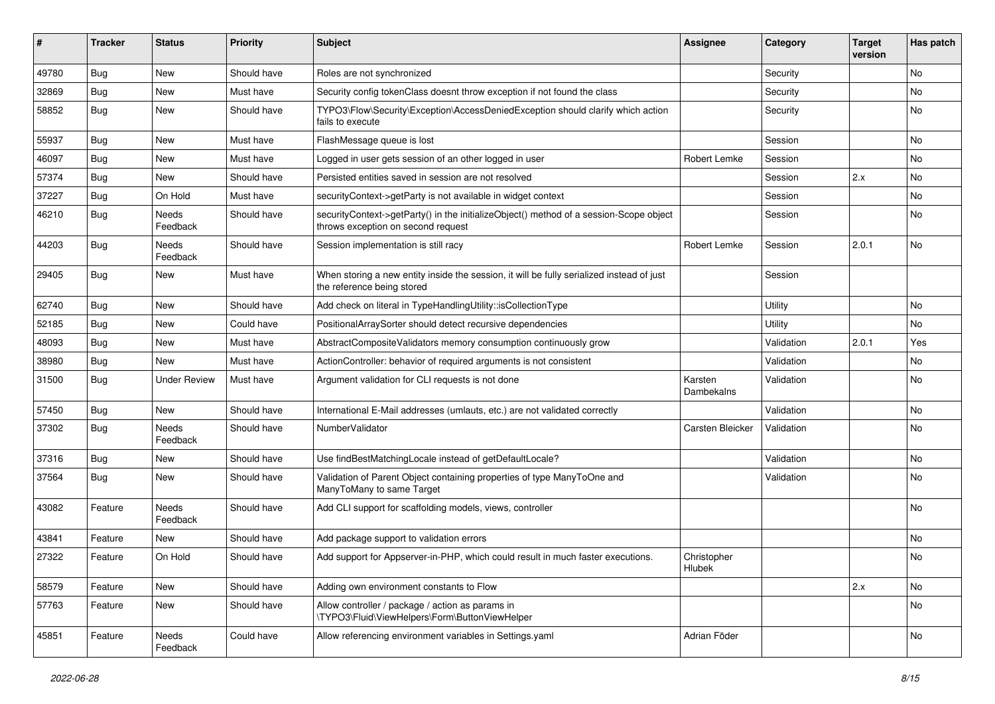| ∦     | <b>Tracker</b> | <b>Status</b>            | <b>Priority</b> | <b>Subject</b>                                                                                                               | <b>Assignee</b>       | Category   | <b>Target</b><br>version | Has patch |
|-------|----------------|--------------------------|-----------------|------------------------------------------------------------------------------------------------------------------------------|-----------------------|------------|--------------------------|-----------|
| 49780 | Bug            | New                      | Should have     | Roles are not synchronized                                                                                                   |                       | Security   |                          | <b>No</b> |
| 32869 | <b>Bug</b>     | New                      | Must have       | Security config tokenClass doesnt throw exception if not found the class                                                     |                       | Security   |                          | No        |
| 58852 | <b>Bug</b>     | New                      | Should have     | TYPO3\Flow\Security\Exception\AccessDeniedException should clarify which action<br>fails to execute                          |                       | Security   |                          | <b>No</b> |
| 55937 | <b>Bug</b>     | <b>New</b>               | Must have       | FlashMessage queue is lost                                                                                                   |                       | Session    |                          | <b>No</b> |
| 46097 | <b>Bug</b>     | New                      | Must have       | Logged in user gets session of an other logged in user                                                                       | Robert Lemke          | Session    |                          | No        |
| 57374 | <b>Bug</b>     | New                      | Should have     | Persisted entities saved in session are not resolved                                                                         |                       | Session    | 2.x                      | No        |
| 37227 | <b>Bug</b>     | On Hold                  | Must have       | securityContext->getParty is not available in widget context                                                                 |                       | Session    |                          | No        |
| 46210 | <b>Bug</b>     | Needs<br>Feedback        | Should have     | securityContext->getParty() in the initializeObject() method of a session-Scope object<br>throws exception on second request |                       | Session    |                          | No        |
| 44203 | <b>Bug</b>     | Needs<br>Feedback        | Should have     | Session implementation is still racy                                                                                         | Robert Lemke          | Session    | 2.0.1                    | <b>No</b> |
| 29405 | <b>Bug</b>     | <b>New</b>               | Must have       | When storing a new entity inside the session, it will be fully serialized instead of just<br>the reference being stored      |                       | Session    |                          |           |
| 62740 | <b>Bug</b>     | <b>New</b>               | Should have     | Add check on literal in TypeHandlingUtility::isCollectionType                                                                |                       | Utility    |                          | <b>No</b> |
| 52185 | <b>Bug</b>     | New                      | Could have      | PositionalArraySorter should detect recursive dependencies                                                                   |                       | Utility    |                          | No        |
| 48093 | Bug            | New                      | Must have       | AbstractCompositeValidators memory consumption continuously grow                                                             |                       | Validation | 2.0.1                    | Yes       |
| 38980 | <b>Bug</b>     | New                      | Must have       | ActionController: behavior of required arguments is not consistent                                                           |                       | Validation |                          | No        |
| 31500 | <b>Bug</b>     | <b>Under Review</b>      | Must have       | Argument validation for CLI requests is not done                                                                             | Karsten<br>Dambekalns | Validation |                          | <b>No</b> |
| 57450 | <b>Bug</b>     | <b>New</b>               | Should have     | International E-Mail addresses (umlauts, etc.) are not validated correctly                                                   |                       | Validation |                          | No        |
| 37302 | <b>Bug</b>     | <b>Needs</b><br>Feedback | Should have     | NumberValidator                                                                                                              | Carsten Bleicker      | Validation |                          | No        |
| 37316 | <b>Bug</b>     | New                      | Should have     | Use findBestMatchingLocale instead of getDefaultLocale?                                                                      |                       | Validation |                          | No        |
| 37564 | <b>Bug</b>     | <b>New</b>               | Should have     | Validation of Parent Object containing properties of type ManyToOne and<br>ManyToMany to same Target                         |                       | Validation |                          | <b>No</b> |
| 43082 | Feature        | <b>Needs</b><br>Feedback | Should have     | Add CLI support for scaffolding models, views, controller                                                                    |                       |            |                          | <b>No</b> |
| 43841 | Feature        | <b>New</b>               | Should have     | Add package support to validation errors                                                                                     |                       |            |                          | <b>No</b> |
| 27322 | Feature        | On Hold                  | Should have     | Add support for Appserver-in-PHP, which could result in much faster executions.                                              | Christopher<br>Hlubek |            |                          | No        |
| 58579 | Feature        | New                      | Should have     | Adding own environment constants to Flow                                                                                     |                       |            | 2.x                      | No        |
| 57763 | Feature        | New                      | Should have     | Allow controller / package / action as params in<br>\TYPO3\Fluid\ViewHelpers\Form\ButtonViewHelper                           |                       |            |                          | No        |
| 45851 | Feature        | Needs<br>Feedback        | Could have      | Allow referencing environment variables in Settings.yaml                                                                     | Adrian Föder          |            |                          | No        |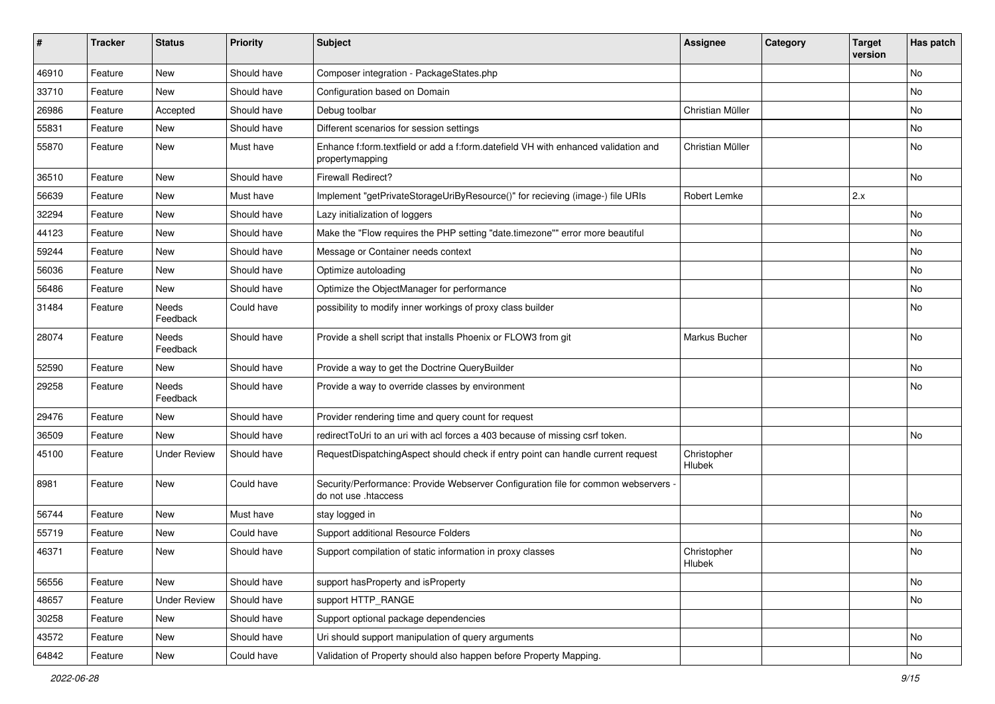| #     | <b>Tracker</b> | <b>Status</b>       | <b>Priority</b> | <b>Subject</b>                                                                                             | <b>Assignee</b>       | Category | <b>Target</b><br>version | Has patch |
|-------|----------------|---------------------|-----------------|------------------------------------------------------------------------------------------------------------|-----------------------|----------|--------------------------|-----------|
| 46910 | Feature        | <b>New</b>          | Should have     | Composer integration - PackageStates.php                                                                   |                       |          |                          | No        |
| 33710 | Feature        | New                 | Should have     | Configuration based on Domain                                                                              |                       |          |                          | No        |
| 26986 | Feature        | Accepted            | Should have     | Debug toolbar                                                                                              | Christian Müller      |          |                          | No        |
| 55831 | Feature        | New                 | Should have     | Different scenarios for session settings                                                                   |                       |          |                          | No        |
| 55870 | Feature        | New                 | Must have       | Enhance f:form.textfield or add a f:form.datefield VH with enhanced validation and<br>propertymapping      | Christian Müller      |          |                          | No        |
| 36510 | Feature        | New                 | Should have     | <b>Firewall Redirect?</b>                                                                                  |                       |          |                          | No        |
| 56639 | Feature        | New                 | Must have       | Implement "getPrivateStorageUriByResource()" for recieving (image-) file URIs                              | Robert Lemke          |          | 2.x                      |           |
| 32294 | Feature        | New                 | Should have     | Lazy initialization of loggers                                                                             |                       |          |                          | No        |
| 44123 | Feature        | New                 | Should have     | Make the "Flow requires the PHP setting "date.timezone"" error more beautiful                              |                       |          |                          | No        |
| 59244 | Feature        | New                 | Should have     | Message or Container needs context                                                                         |                       |          |                          | <b>No</b> |
| 56036 | Feature        | New                 | Should have     | Optimize autoloading                                                                                       |                       |          |                          | No        |
| 56486 | Feature        | New                 | Should have     | Optimize the ObjectManager for performance                                                                 |                       |          |                          | No        |
| 31484 | Feature        | Needs<br>Feedback   | Could have      | possibility to modify inner workings of proxy class builder                                                |                       |          |                          | No        |
| 28074 | Feature        | Needs<br>Feedback   | Should have     | Provide a shell script that installs Phoenix or FLOW3 from git                                             | Markus Bucher         |          |                          | No        |
| 52590 | Feature        | New                 | Should have     | Provide a way to get the Doctrine QueryBuilder                                                             |                       |          |                          | <b>No</b> |
| 29258 | Feature        | Needs<br>Feedback   | Should have     | Provide a way to override classes by environment                                                           |                       |          |                          | No        |
| 29476 | Feature        | New                 | Should have     | Provider rendering time and query count for request                                                        |                       |          |                          |           |
| 36509 | Feature        | <b>New</b>          | Should have     | redirectToUri to an uri with acl forces a 403 because of missing csrf token.                               |                       |          |                          | <b>No</b> |
| 45100 | Feature        | <b>Under Review</b> | Should have     | RequestDispatchingAspect should check if entry point can handle current request                            | Christopher<br>Hlubek |          |                          |           |
| 8981  | Feature        | <b>New</b>          | Could have      | Security/Performance: Provide Webserver Configuration file for common webservers -<br>do not use .htaccess |                       |          |                          |           |
| 56744 | Feature        | New                 | Must have       | stay logged in                                                                                             |                       |          |                          | No        |
| 55719 | Feature        | New                 | Could have      | Support additional Resource Folders                                                                        |                       |          |                          | No        |
| 46371 | Feature        | New                 | Should have     | Support compilation of static information in proxy classes                                                 | Christopher<br>Hlubek |          |                          | No        |
| 56556 | Feature        | New                 | Should have     | support has Property and is Property                                                                       |                       |          |                          | No        |
| 48657 | Feature        | <b>Under Review</b> | Should have     | support HTTP_RANGE                                                                                         |                       |          |                          | No        |
| 30258 | Feature        | New                 | Should have     | Support optional package dependencies                                                                      |                       |          |                          |           |
| 43572 | Feature        | New                 | Should have     | Uri should support manipulation of query arguments                                                         |                       |          |                          | No        |
| 64842 | Feature        | New                 | Could have      | Validation of Property should also happen before Property Mapping.                                         |                       |          |                          | No        |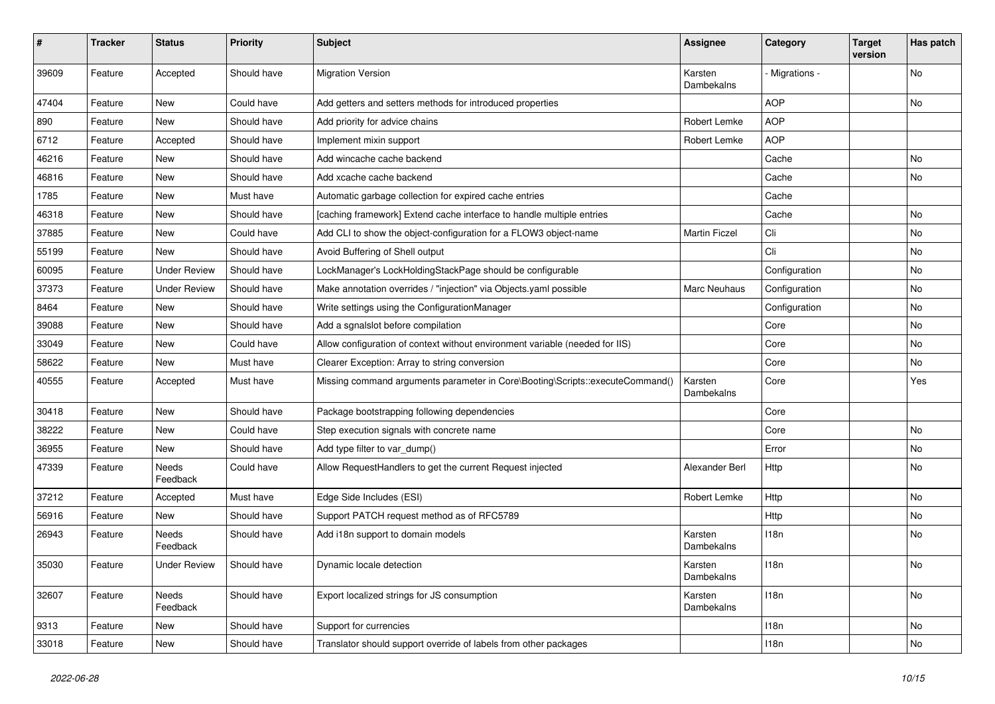| $\#$  | <b>Tracker</b> | <b>Status</b>       | <b>Priority</b> | <b>Subject</b>                                                                | <b>Assignee</b>       | Category       | <b>Target</b><br>version | Has patch |
|-------|----------------|---------------------|-----------------|-------------------------------------------------------------------------------|-----------------------|----------------|--------------------------|-----------|
| 39609 | Feature        | Accepted            | Should have     | <b>Migration Version</b>                                                      | Karsten<br>Dambekalns | - Migrations - |                          | No        |
| 47404 | Feature        | New                 | Could have      | Add getters and setters methods for introduced properties                     |                       | <b>AOP</b>     |                          | No        |
| 890   | Feature        | <b>New</b>          | Should have     | Add priority for advice chains                                                | Robert Lemke          | <b>AOP</b>     |                          |           |
| 6712  | Feature        | Accepted            | Should have     | Implement mixin support                                                       | Robert Lemke          | <b>AOP</b>     |                          |           |
| 46216 | Feature        | New                 | Should have     | Add wincache cache backend                                                    |                       | Cache          |                          | No        |
| 46816 | Feature        | New                 | Should have     | Add xcache cache backend                                                      |                       | Cache          |                          | No        |
| 1785  | Feature        | New                 | Must have       | Automatic garbage collection for expired cache entries                        |                       | Cache          |                          |           |
| 46318 | Feature        | New                 | Should have     | [caching framework] Extend cache interface to handle multiple entries         |                       | Cache          |                          | No        |
| 37885 | Feature        | New                 | Could have      | Add CLI to show the object-configuration for a FLOW3 object-name              | <b>Martin Ficzel</b>  | Cli            |                          | No        |
| 55199 | Feature        | New                 | Should have     | Avoid Buffering of Shell output                                               |                       | Cli            |                          | No        |
| 60095 | Feature        | <b>Under Review</b> | Should have     | LockManager's LockHoldingStackPage should be configurable                     |                       | Configuration  |                          | No        |
| 37373 | Feature        | <b>Under Review</b> | Should have     | Make annotation overrides / "injection" via Objects.yaml possible             | <b>Marc Neuhaus</b>   | Configuration  |                          | No        |
| 8464  | Feature        | New                 | Should have     | Write settings using the ConfigurationManager                                 |                       | Configuration  |                          | No        |
| 39088 | Feature        | New                 | Should have     | Add a sgnalslot before compilation                                            |                       | Core           |                          | No        |
| 33049 | Feature        | New                 | Could have      | Allow configuration of context without environment variable (needed for IIS)  |                       | Core           |                          | No        |
| 58622 | Feature        | <b>New</b>          | Must have       | Clearer Exception: Array to string conversion                                 |                       | Core           |                          | No        |
| 40555 | Feature        | Accepted            | Must have       | Missing command arguments parameter in Core\Booting\Scripts::executeCommand() | Karsten<br>Dambekalns | Core           |                          | Yes       |
| 30418 | Feature        | New                 | Should have     | Package bootstrapping following dependencies                                  |                       | Core           |                          |           |
| 38222 | Feature        | New                 | Could have      | Step execution signals with concrete name                                     |                       | Core           |                          | No        |
| 36955 | Feature        | <b>New</b>          | Should have     | Add type filter to var_dump()                                                 |                       | Error          |                          | No        |
| 47339 | Feature        | Needs<br>Feedback   | Could have      | Allow RequestHandlers to get the current Request injected                     | Alexander Berl        | Http           |                          | No        |
| 37212 | Feature        | Accepted            | Must have       | Edge Side Includes (ESI)                                                      | Robert Lemke          | Http           |                          | No        |
| 56916 | Feature        | New                 | Should have     | Support PATCH request method as of RFC5789                                    |                       | Http           |                          | No        |
| 26943 | Feature        | Needs<br>Feedback   | Should have     | Add i18n support to domain models                                             | Karsten<br>Dambekalns | 118n           |                          | No        |
| 35030 | Feature        | <b>Under Review</b> | Should have     | Dynamic locale detection                                                      | Karsten<br>Dambekalns | 118n           |                          | N0        |
| 32607 | Feature        | Needs<br>Feedback   | Should have     | Export localized strings for JS consumption                                   | Karsten<br>Dambekalns | 118n           |                          | No        |
| 9313  | Feature        | <b>New</b>          | Should have     | Support for currencies                                                        |                       | 118n           |                          | No        |
| 33018 | Feature        | New                 | Should have     | Translator should support override of labels from other packages              |                       | 118n           |                          | No        |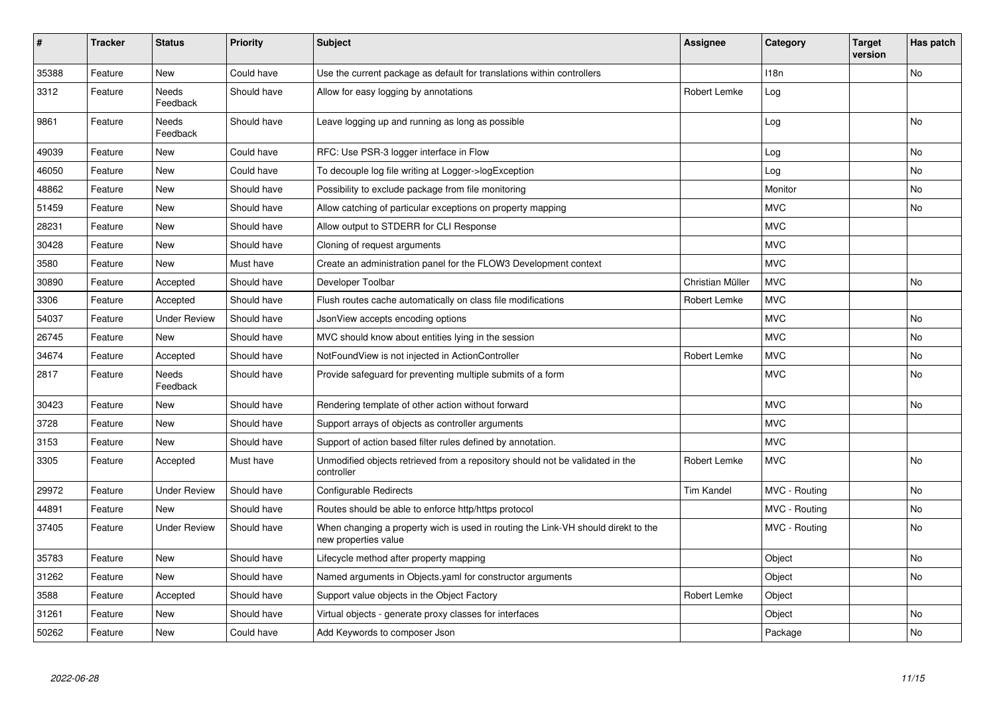| $\vert$ # | <b>Tracker</b> | <b>Status</b>            | <b>Priority</b> | <b>Subject</b>                                                                                            | <b>Assignee</b>   | Category      | <b>Target</b><br>version | Has patch |
|-----------|----------------|--------------------------|-----------------|-----------------------------------------------------------------------------------------------------------|-------------------|---------------|--------------------------|-----------|
| 35388     | Feature        | <b>New</b>               | Could have      | Use the current package as default for translations within controllers                                    |                   | 118n          |                          | <b>No</b> |
| 3312      | Feature        | Needs<br>Feedback        | Should have     | Allow for easy logging by annotations                                                                     | Robert Lemke      | Log           |                          |           |
| 9861      | Feature        | <b>Needs</b><br>Feedback | Should have     | Leave logging up and running as long as possible                                                          |                   | Log           |                          | No        |
| 49039     | Feature        | <b>New</b>               | Could have      | RFC: Use PSR-3 logger interface in Flow                                                                   |                   | Log           |                          | No        |
| 46050     | Feature        | <b>New</b>               | Could have      | To decouple log file writing at Logger->logException                                                      |                   | Log           |                          | No        |
| 48862     | Feature        | <b>New</b>               | Should have     | Possibility to exclude package from file monitoring                                                       |                   | Monitor       |                          | No        |
| 51459     | Feature        | <b>New</b>               | Should have     | Allow catching of particular exceptions on property mapping                                               |                   | <b>MVC</b>    |                          | No        |
| 28231     | Feature        | New                      | Should have     | Allow output to STDERR for CLI Response                                                                   |                   | <b>MVC</b>    |                          |           |
| 30428     | Feature        | <b>New</b>               | Should have     | Cloning of request arguments                                                                              |                   | <b>MVC</b>    |                          |           |
| 3580      | Feature        | <b>New</b>               | Must have       | Create an administration panel for the FLOW3 Development context                                          |                   | <b>MVC</b>    |                          |           |
| 30890     | Feature        | Accepted                 | Should have     | Developer Toolbar                                                                                         | Christian Müller  | <b>MVC</b>    |                          | No        |
| 3306      | Feature        | Accepted                 | Should have     | Flush routes cache automatically on class file modifications                                              | Robert Lemke      | <b>MVC</b>    |                          |           |
| 54037     | Feature        | <b>Under Review</b>      | Should have     | JsonView accepts encoding options                                                                         |                   | <b>MVC</b>    |                          | No        |
| 26745     | Feature        | <b>New</b>               | Should have     | MVC should know about entities lying in the session                                                       |                   | <b>MVC</b>    |                          | No        |
| 34674     | Feature        | Accepted                 | Should have     | NotFoundView is not injected in ActionController                                                          | Robert Lemke      | <b>MVC</b>    |                          | No        |
| 2817      | Feature        | <b>Needs</b><br>Feedback | Should have     | Provide safeguard for preventing multiple submits of a form                                               |                   | <b>MVC</b>    |                          | No        |
| 30423     | Feature        | <b>New</b>               | Should have     | Rendering template of other action without forward                                                        |                   | <b>MVC</b>    |                          | No        |
| 3728      | Feature        | <b>New</b>               | Should have     | Support arrays of objects as controller arguments                                                         |                   | <b>MVC</b>    |                          |           |
| 3153      | Feature        | <b>New</b>               | Should have     | Support of action based filter rules defined by annotation.                                               |                   | <b>MVC</b>    |                          |           |
| 3305      | Feature        | Accepted                 | Must have       | Unmodified objects retrieved from a repository should not be validated in the<br>controller               | Robert Lemke      | <b>MVC</b>    |                          | No        |
| 29972     | Feature        | <b>Under Review</b>      | Should have     | Configurable Redirects                                                                                    | <b>Tim Kandel</b> | MVC - Routing |                          | No        |
| 44891     | Feature        | <b>New</b>               | Should have     | Routes should be able to enforce http/https protocol                                                      |                   | MVC - Routing |                          | No        |
| 37405     | Feature        | <b>Under Review</b>      | Should have     | When changing a property wich is used in routing the Link-VH should direkt to the<br>new properties value |                   | MVC - Routing |                          | No        |
| 35783     | Feature        | <b>New</b>               | Should have     | Lifecycle method after property mapping                                                                   |                   | Object        |                          | No        |
| 31262     | Feature        | <b>New</b>               | Should have     | Named arguments in Objects yaml for constructor arguments                                                 |                   | Object        |                          | No        |
| 3588      | Feature        | Accepted                 | Should have     | Support value objects in the Object Factory                                                               | Robert Lemke      | Object        |                          |           |
| 31261     | Feature        | <b>New</b>               | Should have     | Virtual objects - generate proxy classes for interfaces                                                   |                   | Object        |                          | No        |
| 50262     | Feature        | <b>New</b>               | Could have      | Add Keywords to composer Json                                                                             |                   | Package       |                          | No        |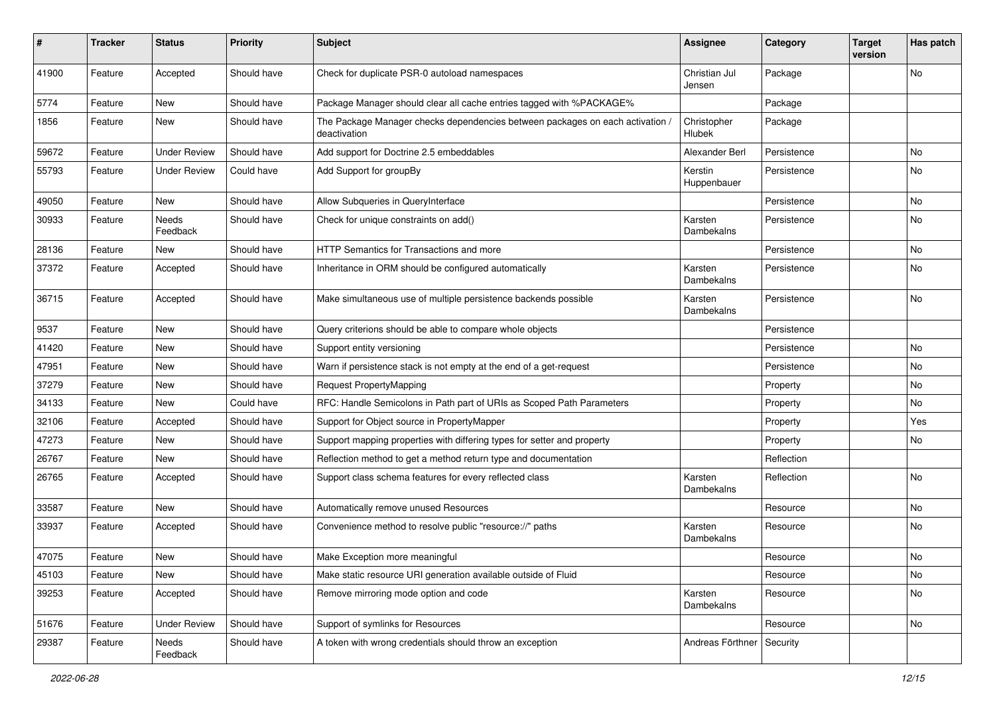| #     | <b>Tracker</b> | <b>Status</b>       | <b>Priority</b> | <b>Subject</b>                                                                               | <b>Assignee</b>             | Category    | <b>Target</b><br>version | Has patch |
|-------|----------------|---------------------|-----------------|----------------------------------------------------------------------------------------------|-----------------------------|-------------|--------------------------|-----------|
| 41900 | Feature        | Accepted            | Should have     | Check for duplicate PSR-0 autoload namespaces                                                | Christian Jul<br>Jensen     | Package     |                          | No        |
| 5774  | Feature        | New                 | Should have     | Package Manager should clear all cache entries tagged with %PACKAGE%                         |                             | Package     |                          |           |
| 1856  | Feature        | New                 | Should have     | The Package Manager checks dependencies between packages on each activation,<br>deactivation | Christopher<br>Hlubek       | Package     |                          |           |
| 59672 | Feature        | <b>Under Review</b> | Should have     | Add support for Doctrine 2.5 embeddables                                                     | Alexander Berl              | Persistence |                          | <b>No</b> |
| 55793 | Feature        | <b>Under Review</b> | Could have      | Add Support for groupBy                                                                      | Kerstin<br>Huppenbauer      | Persistence |                          | No        |
| 49050 | Feature        | New                 | Should have     | Allow Subqueries in QueryInterface                                                           |                             | Persistence |                          | No        |
| 30933 | Feature        | Needs<br>Feedback   | Should have     | Check for unique constraints on add()                                                        | Karsten<br>Dambekalns       | Persistence |                          | No        |
| 28136 | Feature        | New                 | Should have     | HTTP Semantics for Transactions and more                                                     |                             | Persistence |                          | No        |
| 37372 | Feature        | Accepted            | Should have     | Inheritance in ORM should be configured automatically                                        | Karsten<br>Dambekalns       | Persistence |                          | No        |
| 36715 | Feature        | Accepted            | Should have     | Make simultaneous use of multiple persistence backends possible                              | Karsten<br>Dambekalns       | Persistence |                          | No        |
| 9537  | Feature        | <b>New</b>          | Should have     | Query criterions should be able to compare whole objects                                     |                             | Persistence |                          |           |
| 41420 | Feature        | New                 | Should have     | Support entity versioning                                                                    |                             | Persistence |                          | No        |
| 47951 | Feature        | New                 | Should have     | Warn if persistence stack is not empty at the end of a get-request                           |                             | Persistence |                          | No        |
| 37279 | Feature        | New                 | Should have     | Request PropertyMapping                                                                      |                             | Property    |                          | No        |
| 34133 | Feature        | New                 | Could have      | RFC: Handle Semicolons in Path part of URIs as Scoped Path Parameters                        |                             | Property    |                          | No        |
| 32106 | Feature        | Accepted            | Should have     | Support for Object source in PropertyMapper                                                  |                             | Property    |                          | Yes       |
| 47273 | Feature        | New                 | Should have     | Support mapping properties with differing types for setter and property                      |                             | Property    |                          | No        |
| 26767 | Feature        | New                 | Should have     | Reflection method to get a method return type and documentation                              |                             | Reflection  |                          |           |
| 26765 | Feature        | Accepted            | Should have     | Support class schema features for every reflected class                                      | Karsten<br>Dambekalns       | Reflection  |                          | No        |
| 33587 | Feature        | New                 | Should have     | Automatically remove unused Resources                                                        |                             | Resource    |                          | No        |
| 33937 | Feature        | Accepted            | Should have     | Convenience method to resolve public "resource://" paths                                     | Karsten<br>Dambekalns       | Resource    |                          | No        |
| 47075 | Feature        | New                 | Should have     | Make Exception more meaningful                                                               |                             | Resource    |                          | No        |
| 45103 | Feature        | New                 | Should have     | Make static resource URI generation available outside of Fluid                               |                             | Resource    |                          | No        |
| 39253 | Feature        | Accepted            | Should have     | Remove mirroring mode option and code                                                        | Karsten<br>Dambekalns       | Resource    |                          | No        |
| 51676 | Feature        | <b>Under Review</b> | Should have     | Support of symlinks for Resources                                                            |                             | Resource    |                          | No        |
| 29387 | Feature        | Needs<br>Feedback   | Should have     | A token with wrong credentials should throw an exception                                     | Andreas Förthner   Security |             |                          |           |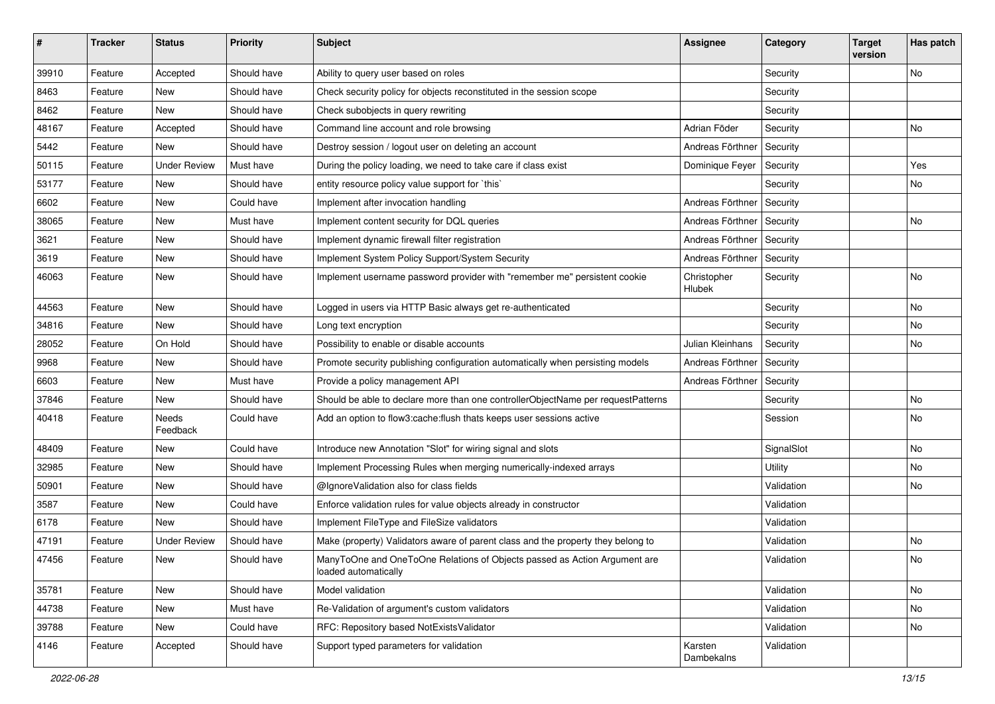| $\sharp$ | <b>Tracker</b> | <b>Status</b>       | <b>Priority</b> | <b>Subject</b>                                                                                    | <b>Assignee</b>       | Category       | <b>Target</b><br>version | Has patch |
|----------|----------------|---------------------|-----------------|---------------------------------------------------------------------------------------------------|-----------------------|----------------|--------------------------|-----------|
| 39910    | Feature        | Accepted            | Should have     | Ability to query user based on roles                                                              |                       | Security       |                          | No        |
| 8463     | Feature        | New                 | Should have     | Check security policy for objects reconstituted in the session scope                              |                       | Security       |                          |           |
| 8462     | Feature        | New                 | Should have     | Check subobjects in query rewriting                                                               |                       | Security       |                          |           |
| 48167    | Feature        | Accepted            | Should have     | Command line account and role browsing                                                            | Adrian Föder          | Security       |                          | No        |
| 5442     | Feature        | New                 | Should have     | Destroy session / logout user on deleting an account                                              | Andreas Förthner      | Security       |                          |           |
| 50115    | Feature        | <b>Under Review</b> | Must have       | During the policy loading, we need to take care if class exist                                    | Dominique Feyer       | Security       |                          | Yes       |
| 53177    | Feature        | New                 | Should have     | entity resource policy value support for `this`                                                   |                       | Security       |                          | No        |
| 6602     | Feature        | New                 | Could have      | Implement after invocation handling                                                               | Andreas Förthner      | Security       |                          |           |
| 38065    | Feature        | New                 | Must have       | Implement content security for DQL queries                                                        | Andreas Förthner      | Security       |                          | No        |
| 3621     | Feature        | New                 | Should have     | Implement dynamic firewall filter registration                                                    | Andreas Förthner      | Security       |                          |           |
| 3619     | Feature        | New                 | Should have     | Implement System Policy Support/System Security                                                   | Andreas Förthner      | Security       |                          |           |
| 46063    | Feature        | New                 | Should have     | Implement username password provider with "remember me" persistent cookie                         | Christopher<br>Hlubek | Security       |                          | No        |
| 44563    | Feature        | New                 | Should have     | Logged in users via HTTP Basic always get re-authenticated                                        |                       | Security       |                          | <b>No</b> |
| 34816    | Feature        | New                 | Should have     | Long text encryption                                                                              |                       | Security       |                          | No        |
| 28052    | Feature        | On Hold             | Should have     | Possibility to enable or disable accounts                                                         | Julian Kleinhans      | Security       |                          | No        |
| 9968     | Feature        | New                 | Should have     | Promote security publishing configuration automatically when persisting models                    | Andreas Förthner      | Security       |                          |           |
| 6603     | Feature        | New                 | Must have       | Provide a policy management API                                                                   | Andreas Förthner      | Security       |                          |           |
| 37846    | Feature        | New                 | Should have     | Should be able to declare more than one controllerObjectName per requestPatterns                  |                       | Security       |                          | No        |
| 40418    | Feature        | Needs<br>Feedback   | Could have      | Add an option to flow3:cache: flush thats keeps user sessions active                              |                       | Session        |                          | No        |
| 48409    | Feature        | New                 | Could have      | Introduce new Annotation "Slot" for wiring signal and slots                                       |                       | SignalSlot     |                          | No        |
| 32985    | Feature        | New                 | Should have     | Implement Processing Rules when merging numerically-indexed arrays                                |                       | <b>Utility</b> |                          | No        |
| 50901    | Feature        | New                 | Should have     | @IgnoreValidation also for class fields                                                           |                       | Validation     |                          | No        |
| 3587     | Feature        | New                 | Could have      | Enforce validation rules for value objects already in constructor                                 |                       | Validation     |                          |           |
| 6178     | Feature        | New                 | Should have     | Implement FileType and FileSize validators                                                        |                       | Validation     |                          |           |
| 47191    | Feature        | <b>Under Review</b> | Should have     | Make (property) Validators aware of parent class and the property they belong to                  |                       | Validation     |                          | No        |
| 47456    | Feature        | New                 | Should have     | ManyToOne and OneToOne Relations of Objects passed as Action Argument are<br>loaded automatically |                       | Validation     |                          | No        |
| 35781    | Feature        | New                 | Should have     | Model validation                                                                                  |                       | Validation     |                          | No        |
| 44738    | Feature        | New                 | Must have       | Re-Validation of argument's custom validators                                                     |                       | Validation     |                          | No        |
| 39788    | Feature        | New                 | Could have      | RFC: Repository based NotExistsValidator                                                          |                       | Validation     |                          | No        |
| 4146     | Feature        | Accepted            | Should have     | Support typed parameters for validation                                                           | Karsten<br>Dambekalns | Validation     |                          |           |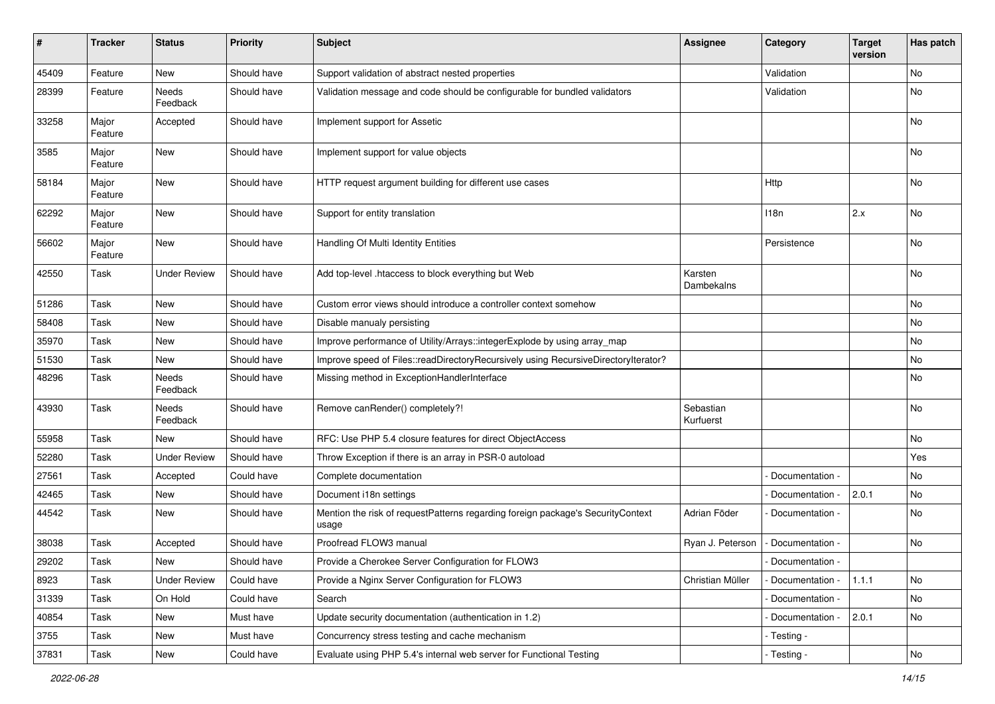| #     | <b>Tracker</b>   | <b>Status</b>       | <b>Priority</b> | <b>Subject</b>                                                                           | <b>Assignee</b>        | Category          | <b>Target</b><br>version | Has patch |
|-------|------------------|---------------------|-----------------|------------------------------------------------------------------------------------------|------------------------|-------------------|--------------------------|-----------|
| 45409 | Feature          | <b>New</b>          | Should have     | Support validation of abstract nested properties                                         |                        | Validation        |                          | No        |
| 28399 | Feature          | Needs<br>Feedback   | Should have     | Validation message and code should be configurable for bundled validators                |                        | Validation        |                          | No        |
| 33258 | Major<br>Feature | Accepted            | Should have     | Implement support for Assetic                                                            |                        |                   |                          | No        |
| 3585  | Major<br>Feature | <b>New</b>          | Should have     | Implement support for value objects                                                      |                        |                   |                          | No        |
| 58184 | Major<br>Feature | New                 | Should have     | HTTP request argument building for different use cases                                   |                        | Http              |                          | No        |
| 62292 | Major<br>Feature | New                 | Should have     | Support for entity translation                                                           |                        | 118n              | 2.x                      | No        |
| 56602 | Major<br>Feature | <b>New</b>          | Should have     | Handling Of Multi Identity Entities                                                      |                        | Persistence       |                          | No        |
| 42550 | Task             | Under Review        | Should have     | Add top-level .htaccess to block everything but Web                                      | Karsten<br>Dambekalns  |                   |                          | No        |
| 51286 | Task             | New                 | Should have     | Custom error views should introduce a controller context somehow                         |                        |                   |                          | No        |
| 58408 | Task             | New                 | Should have     | Disable manualy persisting                                                               |                        |                   |                          | No        |
| 35970 | Task             | New                 | Should have     | Improve performance of Utility/Arrays::integerExplode by using array_map                 |                        |                   |                          | No        |
| 51530 | Task             | New                 | Should have     | Improve speed of Files::readDirectoryRecursively using RecursiveDirectoryIterator?       |                        |                   |                          | No        |
| 48296 | Task             | Needs<br>Feedback   | Should have     | Missing method in ExceptionHandlerInterface                                              |                        |                   |                          | No        |
| 43930 | Task             | Needs<br>Feedback   | Should have     | Remove canRender() completely?!                                                          | Sebastian<br>Kurfuerst |                   |                          | No        |
| 55958 | Task             | New                 | Should have     | RFC: Use PHP 5.4 closure features for direct ObjectAccess                                |                        |                   |                          | No        |
| 52280 | Task             | <b>Under Review</b> | Should have     | Throw Exception if there is an array in PSR-0 autoload                                   |                        |                   |                          | Yes       |
| 27561 | Task             | Accepted            | Could have      | Complete documentation                                                                   |                        | Documentation -   |                          | No        |
| 42465 | Task             | New                 | Should have     | Document i18n settings                                                                   |                        | Documentation -   | 2.0.1                    | No        |
| 44542 | Task             | New                 | Should have     | Mention the risk of requestPatterns regarding foreign package's SecurityContext<br>usage | Adrian Föder           | Documentation -   |                          | No        |
| 38038 | Task             | Accepted            | Should have     | Proofread FLOW3 manual                                                                   | Ryan J. Peterson       | Documentation -   |                          | No        |
| 29202 | Task             | New                 | Should have     | Provide a Cherokee Server Configuration for FLOW3                                        |                        | - Documentation - |                          |           |
| 8923  | Task             | <b>Under Review</b> | Could have      | Provide a Nginx Server Configuration for FLOW3                                           | Christian Müller       | Documentation -   | 1.1.1                    | No        |
| 31339 | Task             | On Hold             | Could have      | Search                                                                                   |                        | - Documentation - |                          | No        |
| 40854 | Task             | New                 | Must have       | Update security documentation (authentication in 1.2)                                    |                        | - Documentation - | 2.0.1                    | No        |
| 3755  | Task             | New                 | Must have       | Concurrency stress testing and cache mechanism                                           |                        | - Testing -       |                          |           |
| 37831 | Task             | New                 | Could have      | Evaluate using PHP 5.4's internal web server for Functional Testing                      |                        | - Testing -       |                          | No        |